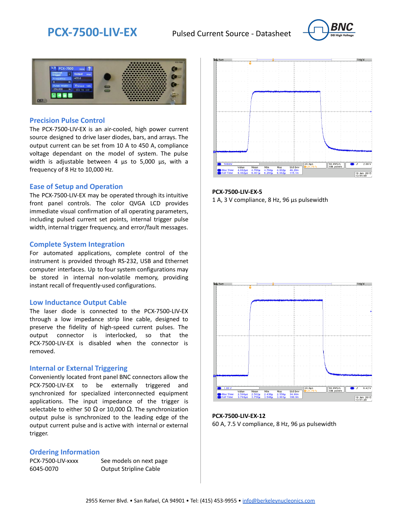



### **Precision Pulse Control**

The PCX-7500-LIV-EX is an air-cooled, high power current source designed to drive laser diodes, bars, and arrays. The output current can be set from 10 A to 450 A, compliance voltage dependant on the model of system. The pulse width is adjustable between 4 us to 5,000 us, with a frequency of 8 Hz to 10,000 Hz.

#### **Ease of Setup and Operation**

The PCX-7500-LIV-EX may be operated through its intuitive front panel controls. The color QVGA LCD provides immediate visual confirmation of all operating parameters, including pulsed current set points, internal trigger pulse width, internal trigger frequency, and error/fault messages.

#### **Complete System Integration**

For automated applications, complete control of the instrument is provided through RS-232, USB and Ethernet computer interfaces. Up to four system configurations may be stored in internal non-volatile memory, providing instant recall of frequently-used configurations.

#### **Low Inductance Output Cable**

The laser diode is connected to the PCX-7500-LIV-EX through a low impedance strip line cable, designed to preserve the fidelity of high-speed current pulses. The output connector is interlocked, so that the PCX-7500-LIV-EX is disabled when the connector is removed.

#### **Internal or External Triggering**

Conveniently located front panel BNC connectors allow the PCX-7500-LIV-EX to be externally triggered and synchronized for specialized interconnected equipment applications. The input impedance of the trigger is selectable to either 50  $\Omega$  or 10,000  $\Omega$ . The synchronization output pulse is synchronized to the leading edge of the output current pulse and is active with internal or external trigger.

#### **Ordering Information**

PCX-7500-LIV-xxxx See models on next page 6045-0070 Output Stripline Cable



**PCX-7500-LIV-EX-5** 1 A, 3 V compliance, 8 Hz, 96 µs pulsewidth



**PCX-7500-LIV-EX-12** 60 A, 7.5 V compliance, 8 Hz, 96 µs pulsewidth